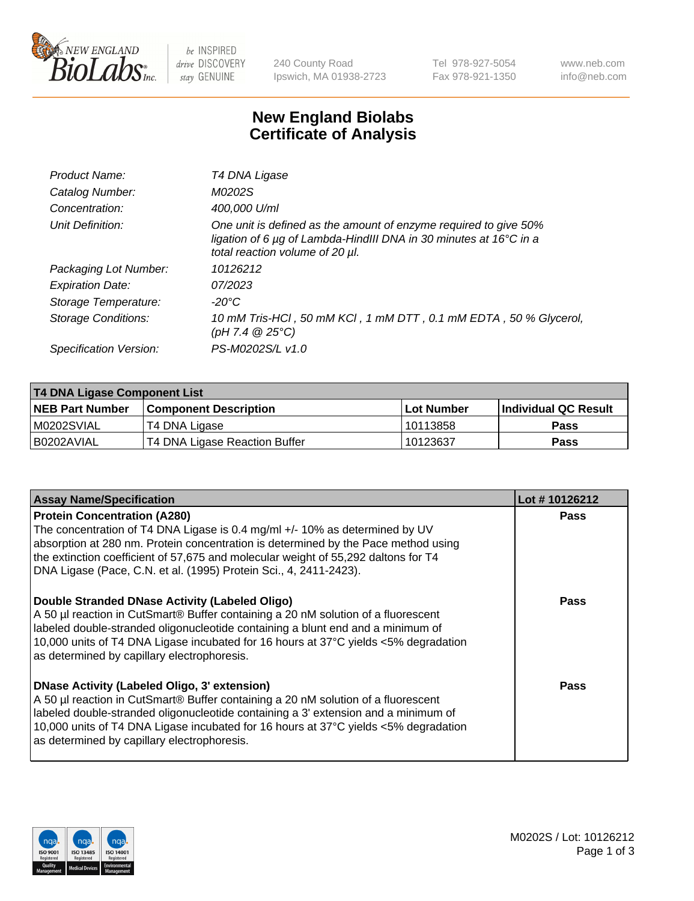

be INSPIRED drive DISCOVERY stay GENUINE

240 County Road Ipswich, MA 01938-2723 Tel 978-927-5054 Fax 978-921-1350 www.neb.com info@neb.com

## **New England Biolabs Certificate of Analysis**

| Product Name:           | T4 DNA Ligase                                                                                                                                                            |
|-------------------------|--------------------------------------------------------------------------------------------------------------------------------------------------------------------------|
| Catalog Number:         | M0202S                                                                                                                                                                   |
| Concentration:          | 400,000 U/ml                                                                                                                                                             |
| Unit Definition:        | One unit is defined as the amount of enzyme required to give 50%<br>ligation of 6 µg of Lambda-HindIII DNA in 30 minutes at 16°C in a<br>total reaction volume of 20 µl. |
| Packaging Lot Number:   | 10126212                                                                                                                                                                 |
| <b>Expiration Date:</b> | 07/2023                                                                                                                                                                  |
| Storage Temperature:    | $-20^{\circ}$ C                                                                                                                                                          |
| Storage Conditions:     | 10 mM Tris-HCl, 50 mM KCl, 1 mM DTT, 0.1 mM EDTA, 50 % Glycerol,<br>$(pH 7.4 \ @ 25^{\circ}C)$                                                                           |
| Specification Version:  | PS-M0202S/L v1.0                                                                                                                                                         |

| <b>T4 DNA Ligase Component List</b> |                               |            |                             |  |  |
|-------------------------------------|-------------------------------|------------|-----------------------------|--|--|
| <b>NEB Part Number</b>              | <b>Component Description</b>  | Lot Number | <b>Individual QC Result</b> |  |  |
| M0202SVIAL                          | T4 DNA Ligase                 | 10113858   | <b>Pass</b>                 |  |  |
| I B0202AVIAL                        | T4 DNA Ligase Reaction Buffer | 10123637   | <b>Pass</b>                 |  |  |

| <b>Assay Name/Specification</b>                                                                                                                                                                                                                                                                                                                                      | Lot #10126212 |
|----------------------------------------------------------------------------------------------------------------------------------------------------------------------------------------------------------------------------------------------------------------------------------------------------------------------------------------------------------------------|---------------|
| <b>Protein Concentration (A280)</b><br>The concentration of T4 DNA Ligase is 0.4 mg/ml +/- 10% as determined by UV<br>absorption at 280 nm. Protein concentration is determined by the Pace method using<br>the extinction coefficient of 57,675 and molecular weight of 55,292 daltons for T4<br>DNA Ligase (Pace, C.N. et al. (1995) Protein Sci., 4, 2411-2423).  | <b>Pass</b>   |
| Double Stranded DNase Activity (Labeled Oligo)<br>A 50 µl reaction in CutSmart® Buffer containing a 20 nM solution of a fluorescent<br>labeled double-stranded oligonucleotide containing a blunt end and a minimum of<br>10,000 units of T4 DNA Ligase incubated for 16 hours at 37°C yields <5% degradation<br>as determined by capillary electrophoresis.         | Pass          |
| <b>DNase Activity (Labeled Oligo, 3' extension)</b><br>A 50 µl reaction in CutSmart® Buffer containing a 20 nM solution of a fluorescent<br>labeled double-stranded oligonucleotide containing a 3' extension and a minimum of<br>10,000 units of T4 DNA Ligase incubated for 16 hours at 37°C yields <5% degradation<br>as determined by capillary electrophoresis. | Pass          |

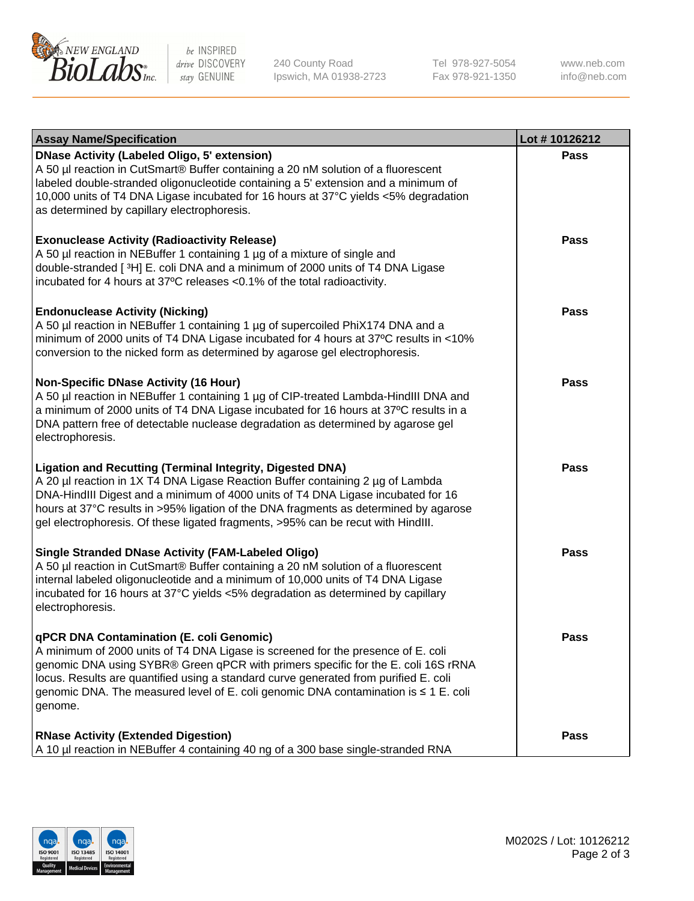

be INSPIRED drive DISCOVERY stay GENUINE

240 County Road Ipswich, MA 01938-2723 Tel 978-927-5054 Fax 978-921-1350 www.neb.com info@neb.com

| <b>Assay Name/Specification</b>                                                                                                                                                                                                                                                                                                                                                                             | Lot #10126212 |
|-------------------------------------------------------------------------------------------------------------------------------------------------------------------------------------------------------------------------------------------------------------------------------------------------------------------------------------------------------------------------------------------------------------|---------------|
| <b>DNase Activity (Labeled Oligo, 5' extension)</b><br>A 50 µl reaction in CutSmart® Buffer containing a 20 nM solution of a fluorescent<br>labeled double-stranded oligonucleotide containing a 5' extension and a minimum of<br>10,000 units of T4 DNA Ligase incubated for 16 hours at 37°C yields <5% degradation<br>as determined by capillary electrophoresis.                                        | <b>Pass</b>   |
| <b>Exonuclease Activity (Radioactivity Release)</b><br>A 50 µl reaction in NEBuffer 1 containing 1 µg of a mixture of single and<br>double-stranded [3H] E. coli DNA and a minimum of 2000 units of T4 DNA Ligase<br>incubated for 4 hours at 37°C releases <0.1% of the total radioactivity.                                                                                                               | Pass          |
| <b>Endonuclease Activity (Nicking)</b><br>A 50 µl reaction in NEBuffer 1 containing 1 µg of supercoiled PhiX174 DNA and a<br>minimum of 2000 units of T4 DNA Ligase incubated for 4 hours at 37°C results in <10%<br>conversion to the nicked form as determined by agarose gel electrophoresis.                                                                                                            | Pass          |
| <b>Non-Specific DNase Activity (16 Hour)</b><br>A 50 µl reaction in NEBuffer 1 containing 1 µg of CIP-treated Lambda-HindIII DNA and<br>a minimum of 2000 units of T4 DNA Ligase incubated for 16 hours at 37°C results in a<br>DNA pattern free of detectable nuclease degradation as determined by agarose gel<br>electrophoresis.                                                                        | <b>Pass</b>   |
| Ligation and Recutting (Terminal Integrity, Digested DNA)<br>A 20 µl reaction in 1X T4 DNA Ligase Reaction Buffer containing 2 µg of Lambda<br>DNA-HindIII Digest and a minimum of 4000 units of T4 DNA Ligase incubated for 16<br>hours at 37°C results in >95% ligation of the DNA fragments as determined by agarose<br>gel electrophoresis. Of these ligated fragments, >95% can be recut with HindIII. | Pass          |
| <b>Single Stranded DNase Activity (FAM-Labeled Oligo)</b><br>A 50 µl reaction in CutSmart® Buffer containing a 20 nM solution of a fluorescent<br>internal labeled oligonucleotide and a minimum of 10,000 units of T4 DNA Ligase<br>incubated for 16 hours at 37°C yields <5% degradation as determined by capillary<br>electrophoresis.                                                                   | <b>Pass</b>   |
| qPCR DNA Contamination (E. coli Genomic)<br>A minimum of 2000 units of T4 DNA Ligase is screened for the presence of E. coli<br>genomic DNA using SYBR® Green qPCR with primers specific for the E. coli 16S rRNA<br>locus. Results are quantified using a standard curve generated from purified E. coli<br>genomic DNA. The measured level of E. coli genomic DNA contamination is ≤ 1 E. coli<br>genome. | Pass          |
| <b>RNase Activity (Extended Digestion)</b><br>A 10 µl reaction in NEBuffer 4 containing 40 ng of a 300 base single-stranded RNA                                                                                                                                                                                                                                                                             | Pass          |